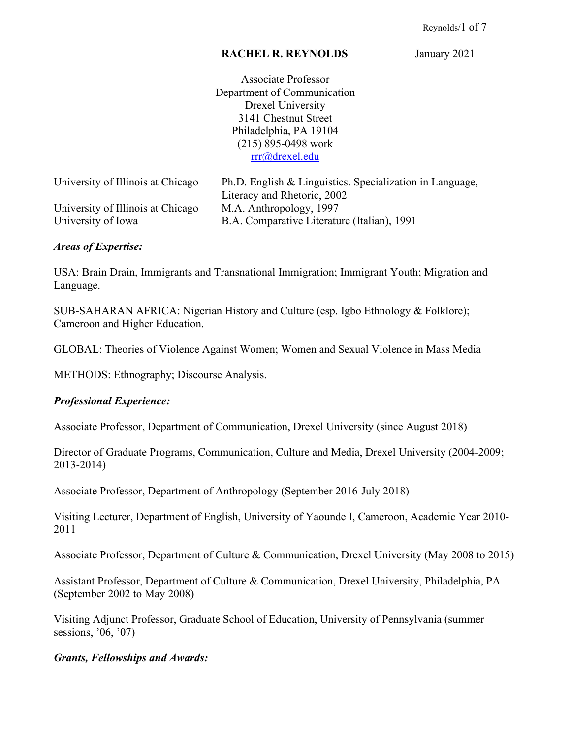#### **RACHEL R. REYNOLDS** January 2021

Associate Professor Department of Communication Drexel University 3141 Chestnut Street Philadelphia, PA 19104 (215) 895-0498 work [rrr@drexel.edu](mailto:rrr@drexel.edu)

| University of Illinois at Chicago | Ph.D. English & Linguistics. Specialization in Language, |
|-----------------------------------|----------------------------------------------------------|
|                                   | Literacy and Rhetoric, 2002                              |
| University of Illinois at Chicago | M.A. Anthropology, 1997                                  |
| University of Iowa                | B.A. Comparative Literature (Italian), 1991              |

#### *Areas of Expertise:*

USA: Brain Drain, Immigrants and Transnational Immigration; Immigrant Youth; Migration and Language.

SUB-SAHARAN AFRICA: Nigerian History and Culture (esp. Igbo Ethnology & Folklore); Cameroon and Higher Education.

GLOBAL: Theories of Violence Against Women; Women and Sexual Violence in Mass Media

METHODS: Ethnography; Discourse Analysis.

### *Professional Experience:*

Associate Professor, Department of Communication, Drexel University (since August 2018)

Director of Graduate Programs, Communication, Culture and Media, Drexel University (2004-2009; 2013-2014)

Associate Professor, Department of Anthropology (September 2016-July 2018)

Visiting Lecturer, Department of English, University of Yaounde I, Cameroon, Academic Year 2010- 2011

Associate Professor, Department of Culture & Communication, Drexel University (May 2008 to 2015)

Assistant Professor, Department of Culture & Communication, Drexel University, Philadelphia, PA (September 2002 to May 2008)

Visiting Adjunct Professor, Graduate School of Education, University of Pennsylvania (summer sessions, '06, '07)

#### *Grants, Fellowships and Awards:*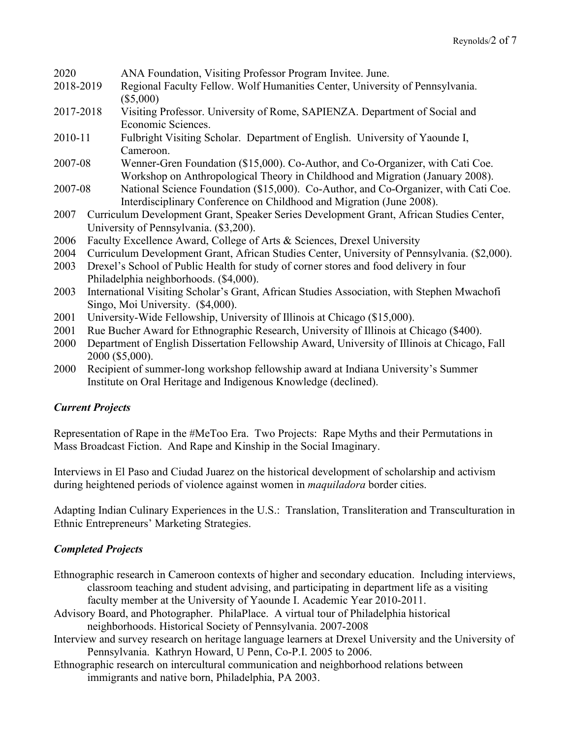| 2020      |  | ANA Foundation, Visiting Professor Program Invitee. June.                                    |  |
|-----------|--|----------------------------------------------------------------------------------------------|--|
| 2018-2019 |  | Regional Faculty Fellow. Wolf Humanities Center, University of Pennsylvania.                 |  |
|           |  | $(\$5,000)$                                                                                  |  |
| 2017-2018 |  | Visiting Professor. University of Rome, SAPIENZA. Department of Social and                   |  |
|           |  | Economic Sciences.                                                                           |  |
| 2010-11   |  | Fulbright Visiting Scholar. Department of English. University of Yaounde I,                  |  |
|           |  | Cameroon.                                                                                    |  |
| 2007-08   |  | Wenner-Gren Foundation (\$15,000). Co-Author, and Co-Organizer, with Cati Coe.               |  |
|           |  | Workshop on Anthropological Theory in Childhood and Migration (January 2008).                |  |
| 2007-08   |  | National Science Foundation (\$15,000). Co-Author, and Co-Organizer, with Cati Coe.          |  |
|           |  | Interdisciplinary Conference on Childhood and Migration (June 2008).                         |  |
| 2007      |  | Curriculum Development Grant, Speaker Series Development Grant, African Studies Center,      |  |
|           |  | University of Pennsylvania. (\$3,200).                                                       |  |
| 2006      |  | Faculty Excellence Award, College of Arts & Sciences, Drexel University                      |  |
| 2004      |  | Curriculum Development Grant, African Studies Center, University of Pennsylvania. (\$2,000). |  |
| 2003      |  | Drexel's School of Public Health for study of corner stores and food delivery in four        |  |
|           |  | Philadelphia neighborhoods. (\$4,000).                                                       |  |
| 2003      |  | International Visiting Scholar's Grant, African Studies Association, with Stephen Mwachofi   |  |
|           |  | Singo, Moi University. (\$4,000).                                                            |  |

- 2001 University-Wide Fellowship, University of Illinois at Chicago (\$15,000).
- 2001 Rue Bucher Award for Ethnographic Research, University of Illinois at Chicago (\$400).
- 2000 Department of English Dissertation Fellowship Award, University of Illinois at Chicago, Fall 2000 (\$5,000).
- 2000 Recipient of summer-long workshop fellowship award at Indiana University's Summer Institute on Oral Heritage and Indigenous Knowledge (declined).

# *Current Projects*

Representation of Rape in the #MeToo Era. Two Projects: Rape Myths and their Permutations in Mass Broadcast Fiction. And Rape and Kinship in the Social Imaginary.

Interviews in El Paso and Ciudad Juarez on the historical development of scholarship and activism during heightened periods of violence against women in *maquiladora* border cities.

Adapting Indian Culinary Experiences in the U.S.: Translation, Transliteration and Transculturation in Ethnic Entrepreneurs' Marketing Strategies.

# *Completed Projects*

- Ethnographic research in Cameroon contexts of higher and secondary education. Including interviews, classroom teaching and student advising, and participating in department life as a visiting faculty member at the University of Yaounde I. Academic Year 2010-2011.
- Advisory Board, and Photographer. PhilaPlace. A virtual tour of Philadelphia historical neighborhoods. Historical Society of Pennsylvania. 2007-2008
- Interview and survey research on heritage language learners at Drexel University and the University of Pennsylvania. Kathryn Howard, U Penn, Co-P.I. 2005 to 2006.
- Ethnographic research on intercultural communication and neighborhood relations between immigrants and native born, Philadelphia, PA 2003.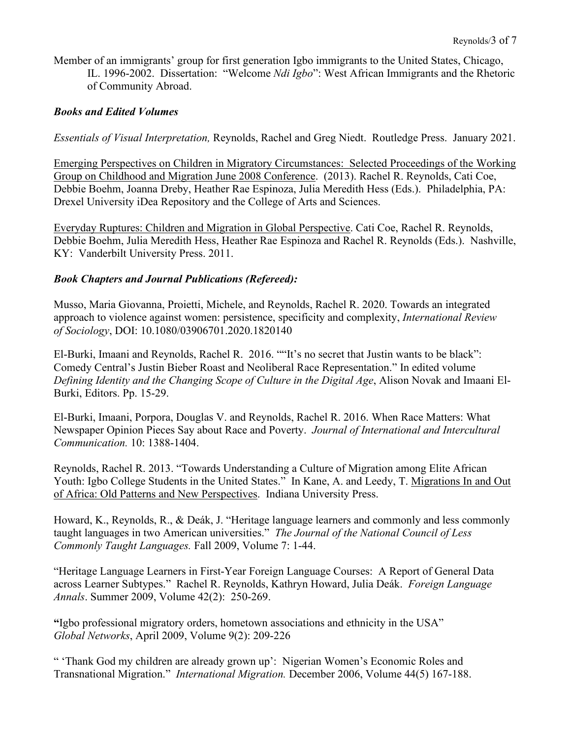Member of an immigrants' group for first generation Igbo immigrants to the United States, Chicago, IL. 1996-2002. Dissertation: "Welcome *Ndi Igbo*": West African Immigrants and the Rhetoric of Community Abroad.

### *Books and Edited Volumes*

*Essentials of Visual Interpretation,* Reynolds, Rachel and Greg Niedt. Routledge Press. January 2021.

Emerging Perspectives on Children in Migratory Circumstances: Selected Proceedings of the Working Group on Childhood and Migration June 2008 Conference. (2013). Rachel R. Reynolds, Cati Coe, Debbie Boehm, Joanna Dreby, Heather Rae Espinoza, Julia Meredith Hess (Eds.). Philadelphia, PA: Drexel University iDea Repository and the College of Arts and Sciences.

Everyday Ruptures: Children and Migration in Global Perspective. Cati Coe, Rachel R. Reynolds, Debbie Boehm, Julia Meredith Hess, Heather Rae Espinoza and Rachel R. Reynolds (Eds.). Nashville, KY: Vanderbilt University Press. 2011.

### *Book Chapters and Journal Publications (Refereed):*

Musso, Maria Giovanna, Proietti, Michele, and Reynolds, Rachel R. 2020. Towards an integrated approach to violence against women: persistence, specificity and complexity, *International Review of Sociology*, DOI: 10.1080/03906701.2020.1820140

El-Burki, Imaani and Reynolds, Rachel R. 2016. ""It's no secret that Justin wants to be black": Comedy Central's Justin Bieber Roast and Neoliberal Race Representation." In edited volume *Defining Identity and the Changing Scope of Culture in the Digital Age*, Alison Novak and Imaani El-Burki, Editors. Pp. 15-29.

El-Burki, Imaani, Porpora, Douglas V. and Reynolds, Rachel R. 2016. When Race Matters: What Newspaper Opinion Pieces Say about Race and Poverty. *Journal of International and Intercultural Communication.* 10: 1388-1404.

Reynolds, Rachel R. 2013. "Towards Understanding a Culture of Migration among Elite African Youth: Igbo College Students in the United States." In Kane, A. and Leedy, T. Migrations In and Out of Africa: Old Patterns and New Perspectives. Indiana University Press.

Howard, K., Reynolds, R., & Deák, J. "Heritage language learners and commonly and less commonly taught languages in two American universities." *The Journal of the National Council of Less Commonly Taught Languages.* Fall 2009, Volume 7: 1-44.

"Heritage Language Learners in First-Year Foreign Language Courses: A Report of General Data across Learner Subtypes." Rachel R. Reynolds, Kathryn Howard, Julia Deák. *Foreign Language Annals*. Summer 2009, Volume 42(2): 250-269.

**"**Igbo professional migratory orders, hometown associations and ethnicity in the USA" *Global Networks*, April 2009, Volume 9(2): 209-226

" 'Thank God my children are already grown up': Nigerian Women's Economic Roles and Transnational Migration." *International Migration.* December 2006, Volume 44(5) 167-188.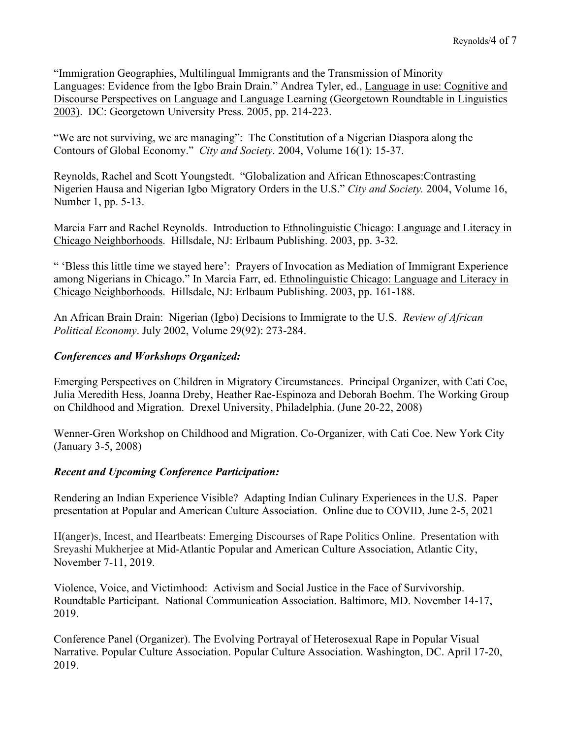"Immigration Geographies, Multilingual Immigrants and the Transmission of Minority Languages: Evidence from the Igbo Brain Drain." Andrea Tyler, ed., Language in use: Cognitive and Discourse Perspectives on Language and Language Learning (Georgetown Roundtable in Linguistics 2003). DC: Georgetown University Press. 2005, pp. 214-223.

"We are not surviving, we are managing": The Constitution of a Nigerian Diaspora along the Contours of Global Economy." *City and Society*. 2004, Volume 16(1): 15-37.

Reynolds, Rachel and Scott Youngstedt. "Globalization and African Ethnoscapes:Contrasting Nigerien Hausa and Nigerian Igbo Migratory Orders in the U.S." *City and Society.* 2004, Volume 16, Number 1, pp. 5-13.

Marcia Farr and Rachel Reynolds. Introduction to Ethnolinguistic Chicago: Language and Literacy in Chicago Neighborhoods. Hillsdale, NJ: Erlbaum Publishing. 2003, pp. 3-32.

" 'Bless this little time we stayed here': Prayers of Invocation as Mediation of Immigrant Experience among Nigerians in Chicago." In Marcia Farr, ed. Ethnolinguistic Chicago: Language and Literacy in Chicago Neighborhoods. Hillsdale, NJ: Erlbaum Publishing. 2003, pp. 161-188.

An African Brain Drain: Nigerian (Igbo) Decisions to Immigrate to the U.S. *Review of African Political Economy*. July 2002, Volume 29(92): 273-284.

# *Conferences and Workshops Organized:*

Emerging Perspectives on Children in Migratory Circumstances. Principal Organizer, with Cati Coe, Julia Meredith Hess, Joanna Dreby, Heather Rae-Espinoza and Deborah Boehm. The Working Group on Childhood and Migration. Drexel University, Philadelphia. (June 20-22, 2008)

Wenner-Gren Workshop on Childhood and Migration. Co-Organizer, with Cati Coe. New York City (January 3-5, 2008)

# *Recent and Upcoming Conference Participation:*

Rendering an Indian Experience Visible? Adapting Indian Culinary Experiences in the U.S. Paper presentation at Popular and American Culture Association. Online due to COVID, June 2-5, 2021

H(anger)s, Incest, and Heartbeats: Emerging Discourses of Rape Politics Online. Presentation with Sreyashi Mukherjee at Mid-Atlantic Popular and American Culture Association, Atlantic City, November 7-11, 2019.

Violence, Voice, and Victimhood: Activism and Social Justice in the Face of Survivorship. Roundtable Participant. National Communication Association. Baltimore, MD. November 14-17, 2019.

Conference Panel (Organizer). The Evolving Portrayal of Heterosexual Rape in Popular Visual Narrative. Popular Culture Association. Popular Culture Association. Washington, DC. April 17-20, 2019.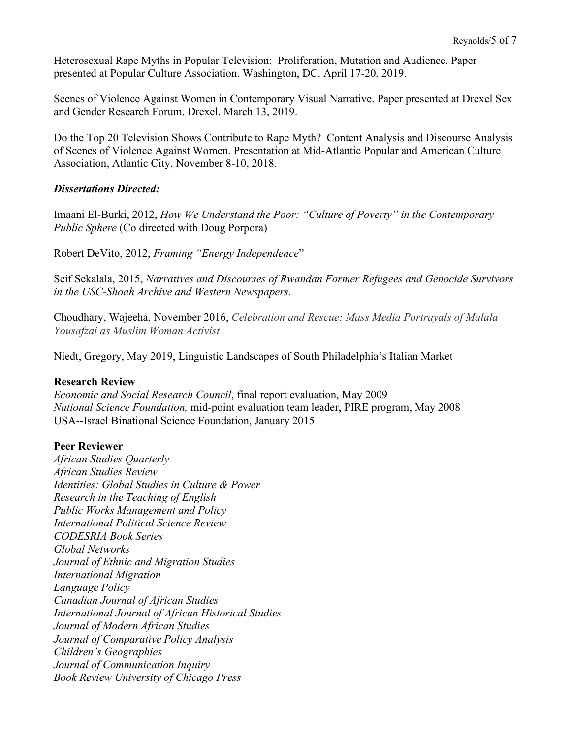Heterosexual Rape Myths in Popular Television: Proliferation, Mutation and Audience. Paper presented at Popular Culture Association. Washington, DC. April 17-20, 2019.

Scenes of Violence Against Women in Contemporary Visual Narrative. Paper presented at Drexel Sex and Gender Research Forum. Drexel. March 13, 2019.

Do the Top 20 Television Shows Contribute to Rape Myth? Content Analysis and Discourse Analysis of Scenes of Violence Against Women. Presentation at Mid-Atlantic Popular and American Culture Association, Atlantic City, November 8-10, 2018.

### *Dissertations Directed:*

Imaani El-Burki, 2012, *How We Understand the Poor: "Culture of Poverty" in the Contemporary Public Sphere* (Co directed with Doug Porpora)

Robert DeVito, 2012, *Framing "Energy Independence*"

Seif Sekalala, 2015, *Narratives and Discourses of Rwandan Former Refugees and Genocide Survivors in the USC-Shoah Archive and Western Newspapers.*

Choudhary, Wajeeha, November 2016, *Celebration and Rescue: Mass Media Portrayals of Malala Yousafzai as Muslim Woman Activist*

Niedt, Gregory, May 2019, Linguistic Landscapes of South Philadelphia's Italian Market

### **Research Review**

*Economic and Social Research Council*, final report evaluation, May 2009 *National Science Foundation,* mid-point evaluation team leader, PIRE program, May 2008 USA--Israel Binational Science Foundation, January 2015

### **Peer Reviewer**

*African Studies Quarterly African Studies Review Identities: Global Studies in Culture & Power Research in the Teaching of English Public Works Management and Policy International Political Science Review CODESRIA Book Series Global Networks Journal of Ethnic and Migration Studies International Migration Language Policy Canadian Journal of African Studies International Journal of African Historical Studies Journal of Modern African Studies Journal of Comparative Policy Analysis Children's Geographies Journal of Communication Inquiry Book Review University of Chicago Press*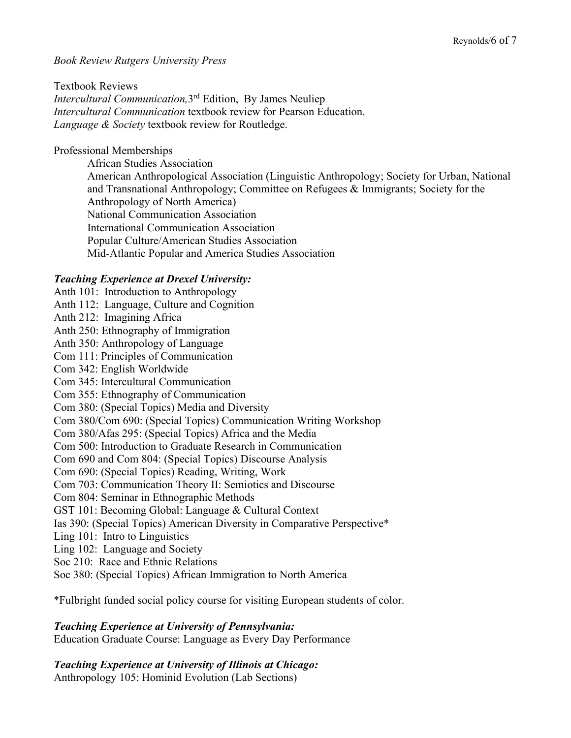### *Book Review Rutgers University Press*

Textbook Reviews *Intercultural Communication,*3rd Edition, By James Neuliep *Intercultural Communication* textbook review for Pearson Education. *Language & Society* textbook review for Routledge.

### Professional Memberships

African Studies Association American Anthropological Association (Linguistic Anthropology; Society for Urban, National and Transnational Anthropology; Committee on Refugees & Immigrants; Society for the Anthropology of North America) National Communication Association International Communication Association Popular Culture/American Studies Association Mid-Atlantic Popular and America Studies Association

### *Teaching Experience at Drexel University:*

Anth 101: Introduction to Anthropology Anth 112: Language, Culture and Cognition Anth 212: Imagining Africa Anth 250: Ethnography of Immigration Anth 350: Anthropology of Language Com 111: Principles of Communication Com 342: English Worldwide Com 345: Intercultural Communication Com 355: Ethnography of Communication Com 380: (Special Topics) Media and Diversity Com 380/Com 690: (Special Topics) Communication Writing Workshop Com 380/Afas 295: (Special Topics) Africa and the Media Com 500: Introduction to Graduate Research in Communication Com 690 and Com 804: (Special Topics) Discourse Analysis Com 690: (Special Topics) Reading, Writing, Work Com 703: Communication Theory II: Semiotics and Discourse Com 804: Seminar in Ethnographic Methods GST 101: Becoming Global: Language & Cultural Context Ias 390: (Special Topics) American Diversity in Comparative Perspective\* Ling 101: Intro to Linguistics Ling 102: Language and Society Soc 210: Race and Ethnic Relations Soc 380: (Special Topics) African Immigration to North America

\*Fulbright funded social policy course for visiting European students of color.

### *Teaching Experience at University of Pennsylvania:*

Education Graduate Course: Language as Every Day Performance

# *Teaching Experience at University of Illinois at Chicago:*

Anthropology 105: Hominid Evolution (Lab Sections)